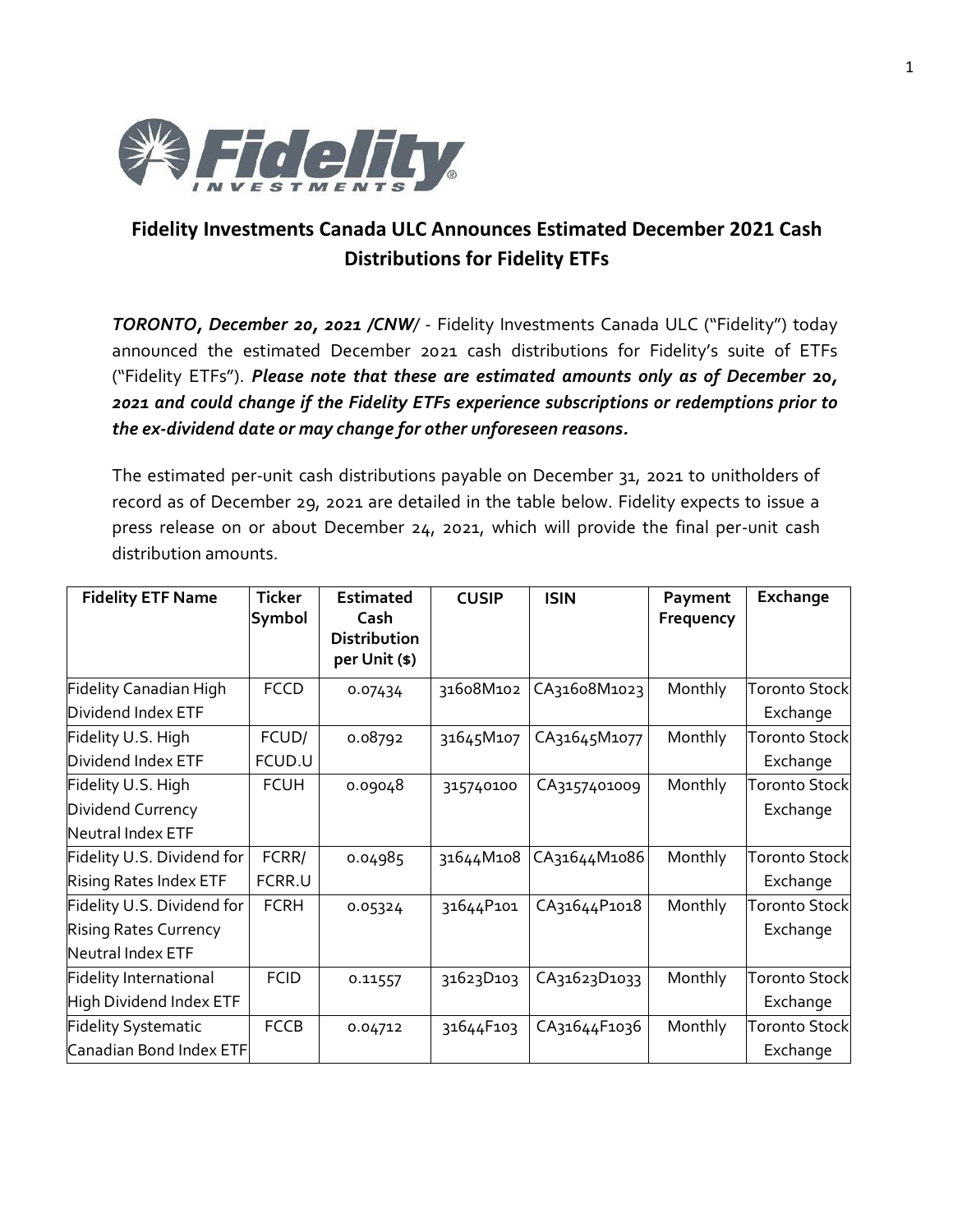

## **Fidelity Investments Canada ULC Announces Estimated December 2021 Cash Distributions for Fidelity ETFs**

*TORONTO, December 20, 2021 /CNW/* - Fidelity Investments Canada ULC ("Fidelity") today announced the estimated December 2021 cash distributions for Fidelity's suite of ETFs ("Fidelity ETFs"). *Please note that these are estimated amounts only as of December* **20***, 2021 and could change if the Fidelity ETFs experience subscriptions or redemptions prior to the ex-dividend date or may change for other unforeseen reasons.*

The estimated per-unit cash distributions payable on December 31, 2021 to unitholders of record as of December 29, 2021 are detailed in the table below. Fidelity expects to issue a press release on or about December 24, 2021, which will provide the final per-unit cash distribution amounts.

| <b>Fidelity ETF Name</b>      | <b>Ticker</b> | <b>Estimated</b>                             | <b>CUSIP</b> | <b>ISIN</b>  | Payment   | Exchange             |
|-------------------------------|---------------|----------------------------------------------|--------------|--------------|-----------|----------------------|
|                               | Symbol        | Cash<br><b>Distribution</b><br>per Unit (\$) |              |              | Frequency |                      |
| Fidelity Canadian High        | <b>FCCD</b>   | 0.07434                                      | 31608M102    | CA31608M1023 | Monthly   | <b>Toronto Stock</b> |
| Dividend Index ETF            |               |                                              |              |              |           | Exchange             |
| Fidelity U.S. High            | FCUD/         | 0.08792                                      | 31645M107    | CA31645M1077 | Monthly   | <b>Toronto Stock</b> |
| Dividend Index ETF            | FCUD.U        |                                              |              |              |           | Exchange             |
| Fidelity U.S. High            | <b>FCUH</b>   | 0.09048                                      | 315740100    | CA3157401009 | Monthly   | <b>Toronto Stock</b> |
| Dividend Currency             |               |                                              |              |              |           | Exchange             |
| Neutral Index ETF             |               |                                              |              |              |           |                      |
| Fidelity U.S. Dividend for    | FCRR/         | 0.04985                                      | 31644M108    | CA31644M1086 | Monthly   | <b>Toronto Stock</b> |
| Rising Rates Index ETF        | FCRR.U        |                                              |              |              |           | Exchange             |
| Fidelity U.S. Dividend for    | <b>FCRH</b>   | 0.05324                                      | 31644P101    | CA31644P1018 | Monthly   | <b>Toronto Stock</b> |
| <b>Rising Rates Currency</b>  |               |                                              |              |              |           | Exchange             |
| Neutral Index ETF             |               |                                              |              |              |           |                      |
| <b>Fidelity International</b> | <b>FCID</b>   | 0.11557                                      | 31623D103    | CA31623D1033 | Monthly   | <b>Toronto Stock</b> |
| High Dividend Index ETF       |               |                                              |              |              |           | Exchange             |
| <b>Fidelity Systematic</b>    | <b>FCCB</b>   | 0.04712                                      | 31644F103    | CA31644F1036 | Monthly   | <b>Toronto Stock</b> |
| Canadian Bond Index ETF       |               |                                              |              |              |           | Exchange             |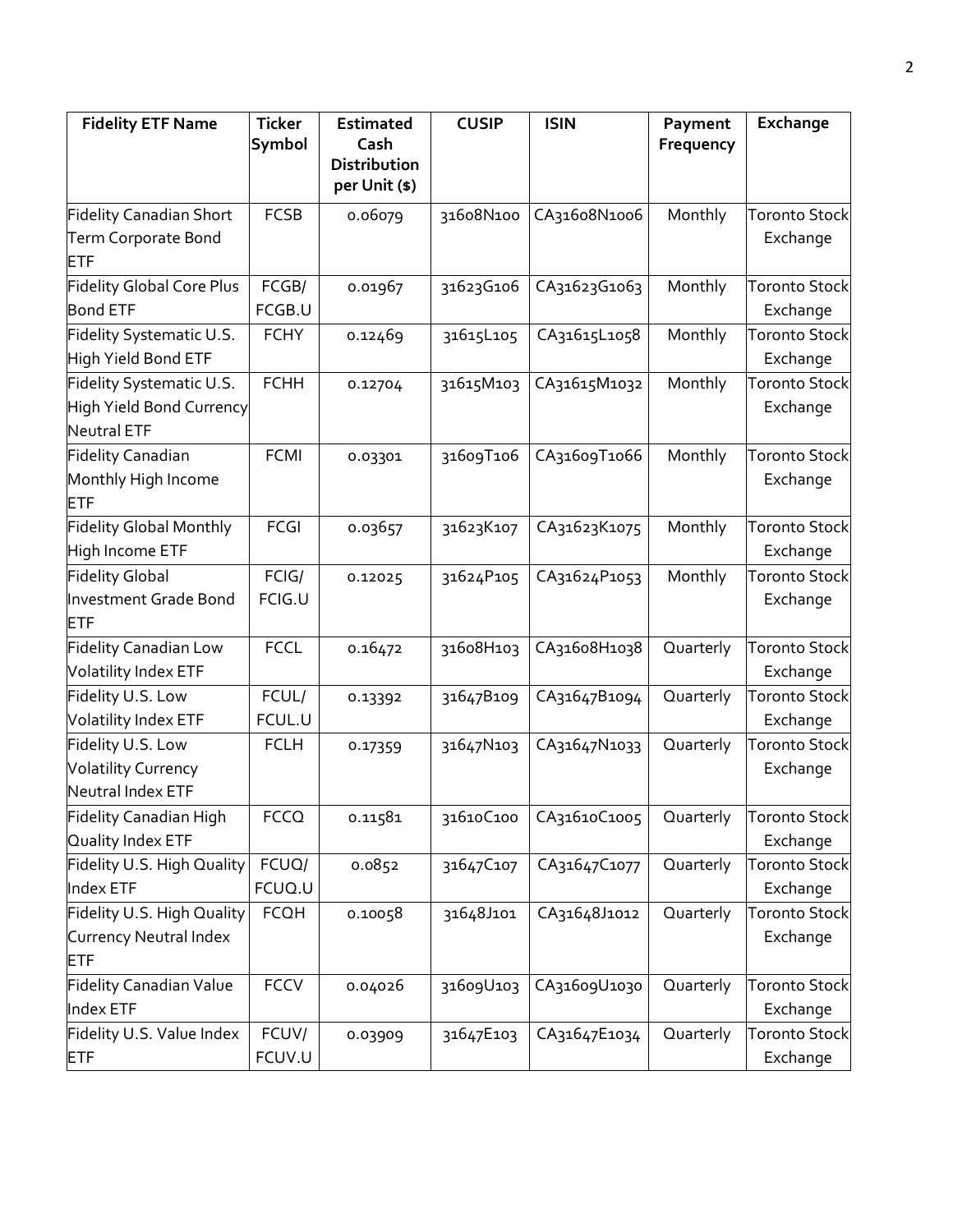| <b>Fidelity ETF Name</b>                                                   | <b>Ticker</b><br>Symbol | <b>Estimated</b><br>Cash      | <b>CUSIP</b> | <b>ISIN</b>  | Payment<br>Frequency | Exchange                         |
|----------------------------------------------------------------------------|-------------------------|-------------------------------|--------------|--------------|----------------------|----------------------------------|
|                                                                            |                         | Distribution<br>per Unit (\$) |              |              |                      |                                  |
| <b>Fidelity Canadian Short</b>                                             | <b>FCSB</b>             | 0.06079                       | 31608N100    | CA31608N1006 | Monthly              | <b>Toronto Stock</b>             |
| Term Corporate Bond<br><b>ETF</b>                                          |                         |                               |              |              |                      | Exchange                         |
| <b>Fidelity Global Core Plus</b><br><b>Bond ETF</b>                        | FCGB/<br>FCGB.U         | 0.01967                       | 31623G106    | CA31623G1063 | Monthly              | <b>Toronto Stock</b><br>Exchange |
| Fidelity Systematic U.S.<br>High Yield Bond ETF                            | <b>FCHY</b>             | 0.12469                       | 31615L105    | CA31615L1058 | Monthly              | <b>Toronto Stock</b><br>Exchange |
| Fidelity Systematic U.S.<br>High Yield Bond Currency<br><b>Neutral ETF</b> | <b>FCHH</b>             | 0.12704                       | 31615M103    | CA31615M1032 | Monthly              | <b>Toronto Stock</b><br>Exchange |
| <b>Fidelity Canadian</b><br>Monthly High Income<br><b>ETF</b>              | <b>FCMI</b>             | 0.03301                       | 31609T106    | CA31609T1066 | Monthly              | <b>Toronto Stock</b><br>Exchange |
| <b>Fidelity Global Monthly</b><br>High Income ETF                          | <b>FCGI</b>             | 0.03657                       | 31623K107    | CA31623K1075 | Monthly              | <b>Toronto Stock</b><br>Exchange |
| <b>Fidelity Global</b><br>Investment Grade Bond<br><b>ETF</b>              | FCIG/<br>FCIG.U         | 0.12025                       | 31624P105    | CA31624P1053 | Monthly              | <b>Toronto Stock</b><br>Exchange |
| <b>Fidelity Canadian Low</b><br>Volatility Index ETF                       | <b>FCCL</b>             | 0.16472                       | 31608H103    | CA31608H1038 | Quarterly            | <b>Toronto Stock</b><br>Exchange |
| Fidelity U.S. Low<br>Volatility Index ETF                                  | FCUL/<br>FCUL.U         | 0.13392                       | 31647B109    | CA31647B1094 | Quarterly            | <b>Toronto Stock</b><br>Exchange |
| Fidelity U.S. Low<br><b>Volatility Currency</b><br>Neutral Index ETF       | <b>FCLH</b>             | 0.17359                       | 31647N103    | CA31647N1033 | Quarterly            | <b>Toronto Stock</b><br>Exchange |
| Fidelity Canadian High<br>Quality Index ETF                                | <b>FCCQ</b>             | 0.11581                       | 31610C100    | CA31610C1005 | Quarterly            | <b>Toronto Stock</b><br>Exchange |
| Fidelity U.S. High Quality<br>Index ETF                                    | FCUQ/<br>FCUQ.U         | 0.0852                        | 31647C107    | CA31647C1077 | Quarterly            | <b>Toronto Stock</b><br>Exchange |
| Fidelity U.S. High Quality<br>Currency Neutral Index<br><b>ETF</b>         | <b>FCQH</b>             | 0.10058                       | 31648J101    | CA31648J1012 | Quarterly            | <b>Toronto Stock</b><br>Exchange |
| <b>Fidelity Canadian Value</b><br>Index ETF                                | <b>FCCV</b>             | 0.04026                       | 31609U103    | CA31609U1030 | Quarterly            | <b>Toronto Stock</b><br>Exchange |
| Fidelity U.S. Value Index<br>ETF                                           | FCUV/<br>FCUV.U         | 0.03909                       | 31647E103    | CA31647E1034 | Quarterly            | <b>Toronto Stock</b><br>Exchange |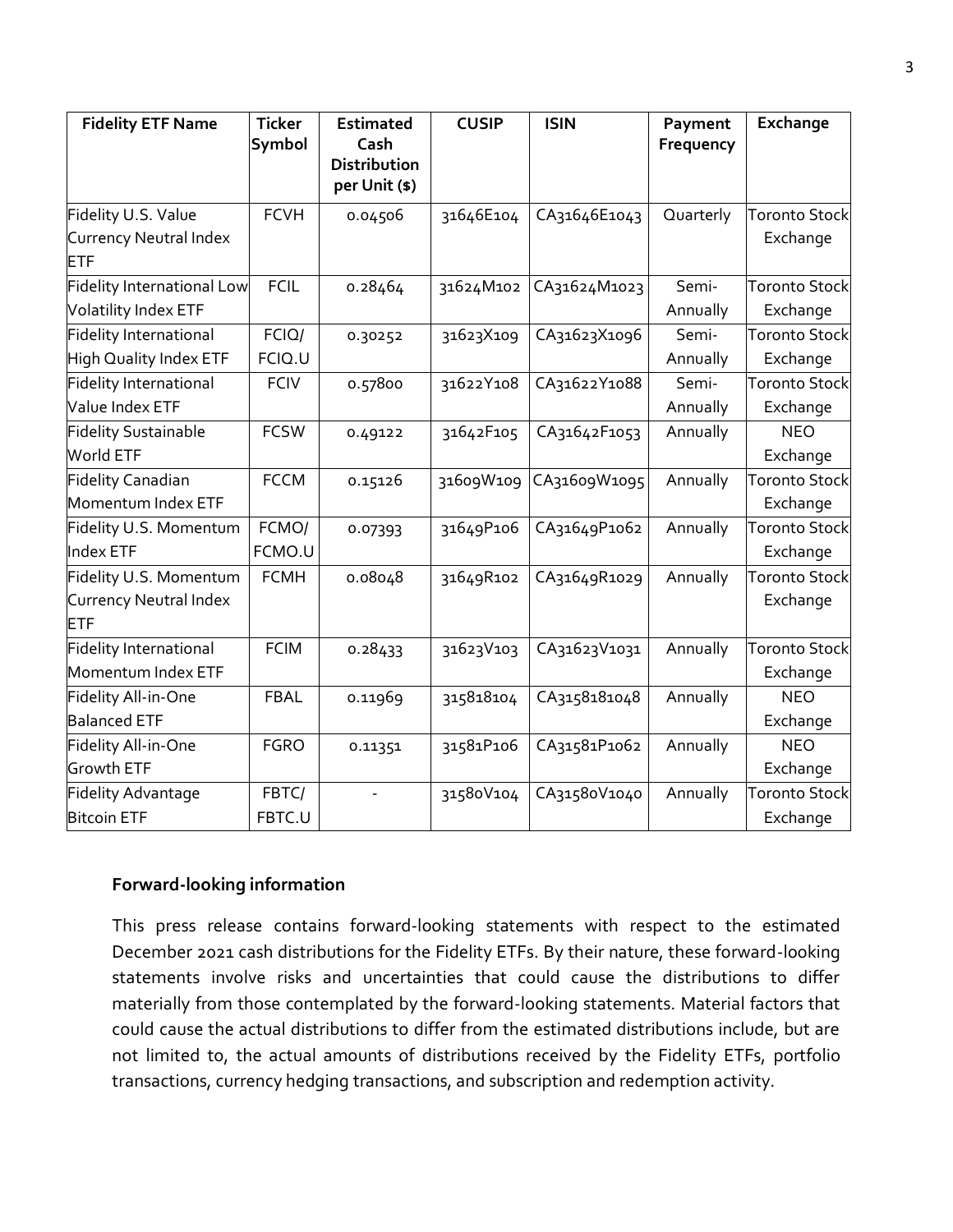| <b>Fidelity ETF Name</b>      | <b>Ticker</b> | <b>Estimated</b>              | <b>CUSIP</b> | <b>ISIN</b>  | Payment   | Exchange             |
|-------------------------------|---------------|-------------------------------|--------------|--------------|-----------|----------------------|
|                               | Symbol        | Cash                          |              |              | Frequency |                      |
|                               |               | Distribution<br>per Unit (\$) |              |              |           |                      |
| Fidelity U.S. Value           | <b>FCVH</b>   | 0.04506                       | 31646E104    | CA31646E1043 | Quarterly | <b>Toronto Stock</b> |
|                               |               |                               |              |              |           |                      |
| Currency Neutral Index<br>ETF |               |                               |              |              |           | Exchange             |
| Fidelity International Low    | <b>FCIL</b>   | 0.28464                       | 31624M102    | CA31624M1023 | Semi-     | <b>Toronto Stock</b> |
| Volatility Index ETF          |               |                               |              |              | Annually  | Exchange             |
| <b>Fidelity International</b> | FCIQ/         | 0.30252                       | 31623X109    | CA31623X1096 | Semi-     | <b>Toronto Stock</b> |
| <b>High Quality Index ETF</b> | FCIQ.U        |                               |              |              | Annually  | Exchange             |
| Fidelity International        | <b>FCIV</b>   | 0.57800                       | 31622Y108    | CA31622Y1088 | Semi-     | <b>Toronto Stock</b> |
| Value Index ETF               |               |                               |              |              | Annually  | Exchange             |
| <b>Fidelity Sustainable</b>   | <b>FCSW</b>   | 0.49122                       | 31642F105    | CA31642F1053 | Annually  | <b>NEO</b>           |
| World ETF                     |               |                               |              |              |           | Exchange             |
| <b>Fidelity Canadian</b>      | <b>FCCM</b>   | 0.15126                       | 31609W109    | CA31609W1095 | Annually  | <b>Toronto Stock</b> |
| Momentum Index ETF            |               |                               |              |              |           | Exchange             |
| Fidelity U.S. Momentum        | FCMO/         | 0.07393                       | 31649P106    | CA31649P1062 | Annually  | <b>Toronto Stock</b> |
| Index ETF                     | FCMO.U        |                               |              |              |           | Exchange             |
| Fidelity U.S. Momentum        | <b>FCMH</b>   | 0.08048                       | 31649R102    | CA31649R1029 | Annually  | <b>Toronto Stock</b> |
| Currency Neutral Index        |               |                               |              |              |           | Exchange             |
| ETF                           |               |                               |              |              |           |                      |
| Fidelity International        | <b>FCIM</b>   | 0.28433                       | 31623V103    | CA31623V1031 | Annually  | <b>Toronto Stock</b> |
| Momentum Index ETF            |               |                               |              |              |           | Exchange             |
| Fidelity All-in-One           | <b>FBAL</b>   | 0.11969                       | 315818104    | CA3158181048 | Annually  | <b>NEO</b>           |
| <b>Balanced ETF</b>           |               |                               |              |              |           | Exchange             |
| Fidelity All-in-One           | <b>FGRO</b>   | 0.11351                       | 31581P106    | CA31581P1062 | Annually  | <b>NEO</b>           |
| Growth ETF                    |               |                               |              |              |           | Exchange             |
| Fidelity Advantage            | FBTC/         |                               | 31580V104    | CA31580V1040 | Annually  | <b>Toronto Stock</b> |
| <b>Bitcoin ETF</b>            | FBTC.U        |                               |              |              |           | Exchange             |

## **Forward-looking information**

This press release contains forward-looking statements with respect to the estimated December 2021 cash distributions for the Fidelity ETFs. By their nature, these forward-looking statements involve risks and uncertainties that could cause the distributions to differ materially from those contemplated by the forward-looking statements. Material factors that could cause the actual distributions to differ from the estimated distributions include, but are not limited to, the actual amounts of distributions received by the Fidelity ETFs, portfolio transactions, currency hedging transactions, and subscription and redemption activity.